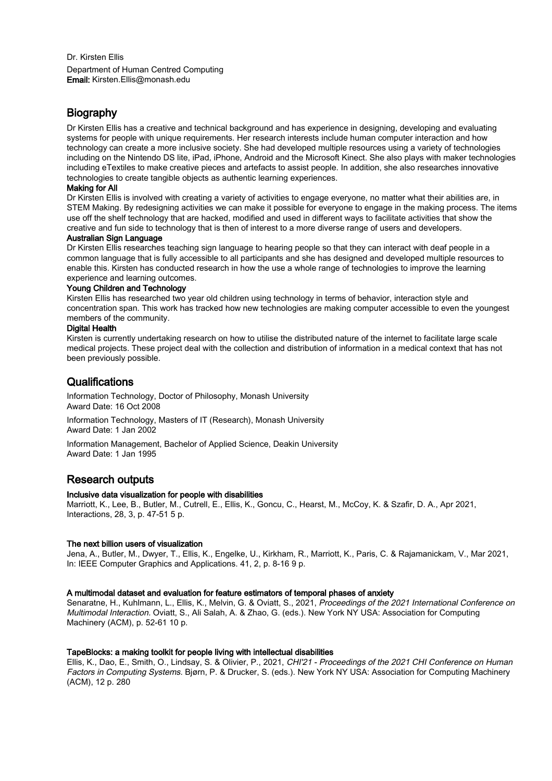Dr. Kirsten Ellis Department of Human Centred Computing Email: Kirsten.Ellis@monash.edu

## **Biography**

Dr Kirsten Ellis has a creative and technical background and has experience in designing, developing and evaluating systems for people with unique requirements. Her research interests include human computer interaction and how technology can create a more inclusive society. She had developed multiple resources using a variety of technologies including on the Nintendo DS lite, iPad, iPhone, Android and the Microsoft Kinect. She also plays with maker technologies including eTextiles to make creative pieces and artefacts to assist people. In addition, she also researches innovative technologies to create tangible objects as authentic learning experiences.

## Making for All

Dr Kirsten Ellis is involved with creating a variety of activities to engage everyone, no matter what their abilities are, in STEM Making. By redesigning activities we can make it possible for everyone to engage in the making process. The items use off the shelf technology that are hacked, modified and used in different ways to facilitate activities that show the creative and fun side to technology that is then of interest to a more diverse range of users and developers.

## Australian Sign Language

Dr Kirsten Ellis researches teaching sign language to hearing people so that they can interact with deaf people in a common language that is fully accessible to all participants and she has designed and developed multiple resources to enable this. Kirsten has conducted research in how the use a whole range of technologies to improve the learning experience and learning outcomes.

## Young Children and Technology

Kirsten Ellis has researched two year old children using technology in terms of behavior, interaction style and concentration span. This work has tracked how new technologies are making computer accessible to even the youngest members of the community.

## Digital Health

Kirsten is currently undertaking research on how to utilise the distributed nature of the internet to facilitate large scale medical projects. These project deal with the collection and distribution of information in a medical context that has not been previously possible.

# **Qualifications**

Information Technology, Doctor of Philosophy, Monash University Award Date: 16 Oct 2008

Information Technology, Masters of IT (Research), Monash University Award Date: 1 Jan 2002

Information Management, Bachelor of Applied Science, Deakin University Award Date: 1 Jan 1995

# Research outputs

## Inclusive data visualization for people with disabilities

Marriott, K., Lee, B., Butler, M., Cutrell, E., Ellis, K., Goncu, C., Hearst, M., McCoy, K. & Szafir, D. A., Apr 2021, Interactions, 28, 3, p. 47-51 5 p.

## The next billion users of visualization

Jena, A., Butler, M., Dwyer, T., Ellis, K., Engelke, U., Kirkham, R., Marriott, K., Paris, C. & Rajamanickam, V., Mar 2021, In: IEEE Computer Graphics and Applications. 41, 2, p. 8-16 9 p.

## A multimodal dataset and evaluation for feature estimators of temporal phases of anxiety

Senaratne, H., Kuhlmann, L., Ellis, K., Melvin, G. & Oviatt, S., 2021, Proceedings of the 2021 International Conference on Multimodal Interaction. Oviatt, S., Ali Salah, A. & Zhao, G. (eds.). New York NY USA: Association for Computing Machinery (ACM), p. 52-61 10 p.

## TapeBlocks: a making toolkit for people living with intellectual disabilities

Ellis, K., Dao, E., Smith, O., Lindsay, S. & Olivier, P., 2021, CHI'21 - Proceedings of the 2021 CHI Conference on Human Factors in Computing Systems. Bjørn, P. & Drucker, S. (eds.). New York NY USA: Association for Computing Machinery (ACM), 12 p. 280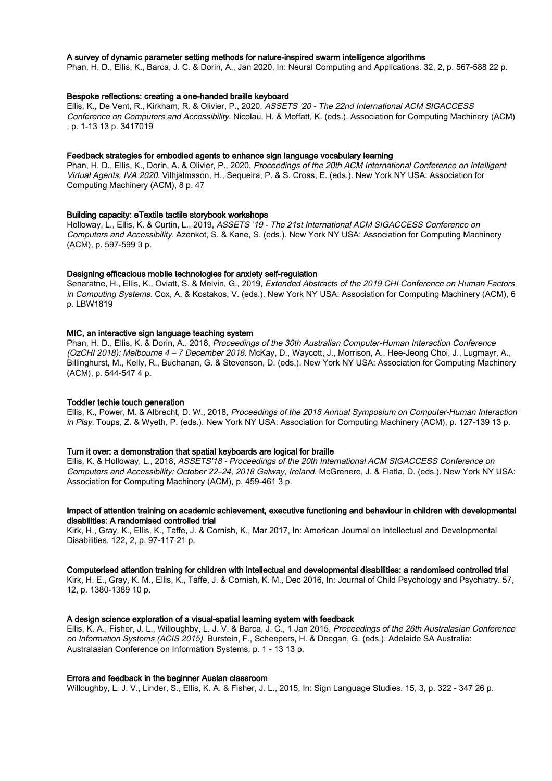## A survey of dynamic parameter setting methods for nature-inspired swarm intelligence algorithms

Phan, H. D., Ellis, K., Barca, J. C. & Dorin, A., Jan 2020, In: Neural Computing and Applications. 32, 2, p. 567-588 22 p.

## Bespoke reflections: creating a one-handed braille keyboard

Ellis, K., De Vent, R., Kirkham, R. & Olivier, P., 2020, ASSETS '20 - The 22nd International ACM SIGACCESS Conference on Computers and Accessibility. Nicolau, H. & Moffatt, K. (eds.). Association for Computing Machinery (ACM) , p. 1-13 13 p. 3417019

#### Feedback strategies for embodied agents to enhance sign language vocabulary learning

Phan, H. D., Ellis, K., Dorin, A. & Olivier, P., 2020, Proceedings of the 20th ACM International Conference on Intelligent Virtual Agents, IVA 2020. Vilhjalmsson, H., Sequeira, P. & S. Cross, E. (eds.). New York NY USA: Association for Computing Machinery (ACM), 8 p. 47

## Building capacity: eTextile tactile storybook workshops

Holloway, L., Ellis, K. & Curtin, L., 2019, ASSETS '19 - The 21st International ACM SIGACCESS Conference on Computers and Accessibility. Azenkot, S. & Kane, S. (eds.). New York NY USA: Association for Computing Machinery (ACM), p. 597-599 3 p.

#### Designing efficacious mobile technologies for anxiety self-regulation

Senaratne, H., Ellis, K., Oviatt, S. & Melvin, G., 2019, Extended Abstracts of the 2019 CHI Conference on Human Factors in Computing Systems. Cox, A. & Kostakos, V. (eds.). New York NY USA: Association for Computing Machinery (ACM), 6 p. LBW1819

#### MIC, an interactive sign language teaching system

Phan, H. D., Ellis, K. & Dorin, A., 2018, Proceedings of the 30th Australian Computer-Human Interaction Conference (OzCHI 2018): Melbourne 4 – 7 December 2018. McKay, D., Waycott, J., Morrison, A., Hee-Jeong Choi, J., Lugmayr, A., Billinghurst, M., Kelly, R., Buchanan, G. & Stevenson, D. (eds.). New York NY USA: Association for Computing Machinery (ACM), p. 544-547 4 p.

## Toddler techie touch generation

Ellis, K., Power, M. & Albrecht, D. W., 2018, Proceedings of the 2018 Annual Symposium on Computer-Human Interaction in Play. Toups, Z. & Wyeth, P. (eds.). New York NY USA: Association for Computing Machinery (ACM), p. 127-139 13 p.

## Turn it over: a demonstration that spatial keyboards are logical for braille

Ellis, K. & Holloway, L., 2018, ASSETS'18 - Proceedings of the 20th International ACM SIGACCESS Conference on Computers and Accessibility: October 22–24, 2018 Galway, Ireland. McGrenere, J. & Flatla, D. (eds.). New York NY USA: Association for Computing Machinery (ACM), p. 459-461 3 p.

#### Impact of attention training on academic achievement, executive functioning and behaviour in children with developmental disabilities: A randomised controlled trial

Kirk, H., Gray, K., Ellis, K., Taffe, J. & Cornish, K., Mar 2017, In: American Journal on Intellectual and Developmental Disabilities. 122, 2, p. 97-117 21 p.

## Computerised attention training for children with intellectual and developmental disabilities: a randomised controlled trial

Kirk, H. E., Gray, K. M., Ellis, K., Taffe, J. & Cornish, K. M., Dec 2016, In: Journal of Child Psychology and Psychiatry. 57, 12, p. 1380-1389 10 p.

#### A design science exploration of a visual-spatial learning system with feedback

Ellis, K. A., Fisher, J. L., Willoughby, L. J. V. & Barca, J. C., 1 Jan 2015, Proceedings of the 26th Australasian Conference on Information Systems (ACIS 2015). Burstein, F., Scheepers, H. & Deegan, G. (eds.). Adelaide SA Australia: Australasian Conference on Information Systems, p. 1 - 13 13 p.

## Errors and feedback in the beginner Auslan classroom

Willoughby, L. J. V., Linder, S., Ellis, K. A. & Fisher, J. L., 2015, In: Sign Language Studies. 15, 3, p. 322 - 347 26 p.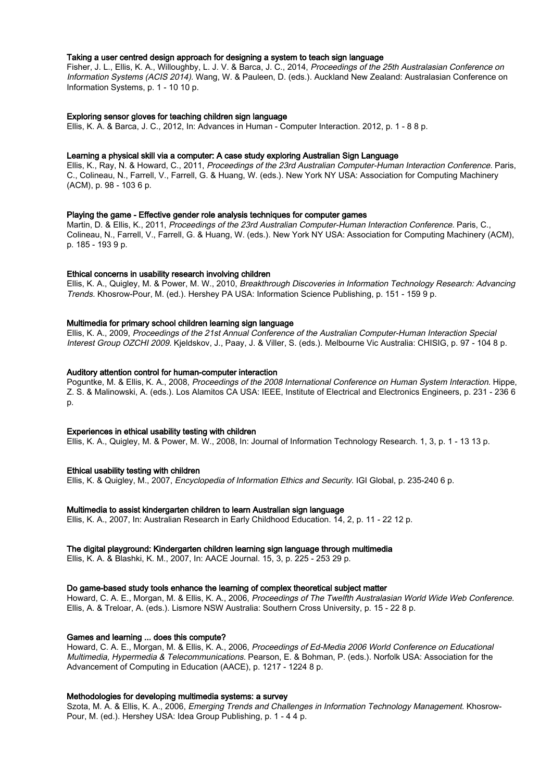## Taking a user centred design approach for designing a system to teach sign language

Fisher, J. L., Ellis, K. A., Willoughby, L. J. V. & Barca, J. C., 2014, Proceedings of the 25th Australasian Conference on Information Systems (ACIS 2014). Wang, W. & Pauleen, D. (eds.). Auckland New Zealand: Australasian Conference on Information Systems, p. 1 - 10 10 p.

## Exploring sensor gloves for teaching children sign language

Ellis, K. A. & Barca, J. C., 2012, In: Advances in Human - Computer Interaction. 2012, p. 1 - 8 8 p.

#### Learning a physical skill via a computer: A case study exploring Australian Sign Language

Ellis, K., Ray, N. & Howard, C., 2011, Proceedings of the 23rd Australian Computer-Human Interaction Conference. Paris, C., Colineau, N., Farrell, V., Farrell, G. & Huang, W. (eds.). New York NY USA: Association for Computing Machinery (ACM), p. 98 - 103 6 p.

#### Playing the game - Effective gender role analysis techniques for computer games

Martin, D. & Ellis, K., 2011, Proceedings of the 23rd Australian Computer-Human Interaction Conference. Paris, C., Colineau, N., Farrell, V., Farrell, G. & Huang, W. (eds.). New York NY USA: Association for Computing Machinery (ACM), p. 185 - 193 9 p.

#### Ethical concerns in usability research involving children

Ellis, K. A., Quigley, M. & Power, M. W., 2010, Breakthrough Discoveries in Information Technology Research: Advancing Trends. Khosrow-Pour, M. (ed.). Hershey PA USA: Information Science Publishing, p. 151 - 159 9 p.

## Multimedia for primary school children learning sign language

Ellis, K. A., 2009, Proceedings of the 21st Annual Conference of the Australian Computer-Human Interaction Special Interest Group OZCHI 2009. Kjeldskov, J., Paay, J. & Viller, S. (eds.). Melbourne Vic Australia: CHISIG, p. 97 - 104 8 p.

#### Auditory attention control for human-computer interaction

Poguntke, M. & Ellis, K. A., 2008, Proceedings of the 2008 International Conference on Human System Interaction. Hippe, Z. S. & Malinowski, A. (eds.). Los Alamitos CA USA: IEEE, Institute of Electrical and Electronics Engineers, p. 231 - 236 6 p.

#### Experiences in ethical usability testing with children

Ellis, K. A., Quigley, M. & Power, M. W., 2008, In: Journal of Information Technology Research. 1, 3, p. 1 - 13 13 p.

#### Ethical usability testing with children

Ellis, K. & Quigley, M., 2007, Encyclopedia of Information Ethics and Security. IGI Global, p. 235-240 6 p.

#### Multimedia to assist kindergarten children to learn Australian sign language

Ellis, K. A., 2007, In: Australian Research in Early Childhood Education. 14, 2, p. 11 - 22 12 p.

#### The digital playground: Kindergarten children learning sign language through multimedia

Ellis, K. A. & Blashki, K. M., 2007, In: AACE Journal. 15, 3, p. 225 - 253 29 p.

## Do game-based study tools enhance the learning of complex theoretical subject matter

Howard, C. A. E., Morgan, M. & Ellis, K. A., 2006, Proceedings of The Twelfth Australasian World Wide Web Conference. Ellis, A. & Treloar, A. (eds.). Lismore NSW Australia: Southern Cross University, p. 15 - 22 8 p.

## Games and learning ... does this compute?

Howard, C. A. E., Morgan, M. & Ellis, K. A., 2006, Proceedings of Ed-Media 2006 World Conference on Educational Multimedia, Hypermedia & Telecommunications. Pearson, E. & Bohman, P. (eds.). Norfolk USA: Association for the Advancement of Computing in Education (AACE), p. 1217 - 1224 8 p.

## Methodologies for developing multimedia systems: a survey

Szota, M. A. & Ellis, K. A., 2006, Emerging Trends and Challenges in Information Technology Management. Khosrow-Pour, M. (ed.). Hershey USA: Idea Group Publishing, p. 1 - 4 4 p.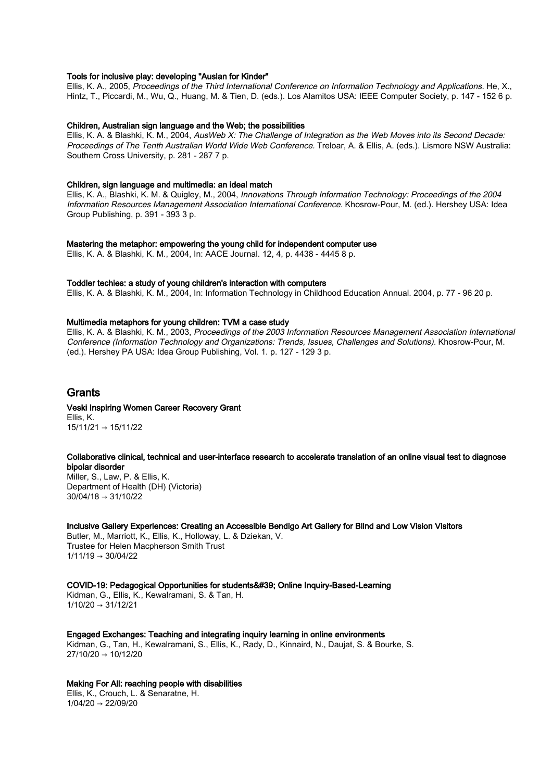## Tools for inclusive play: developing "Auslan for Kinder"

Ellis, K. A., 2005, Proceedings of the Third International Conference on Information Technology and Applications. He, X., Hintz, T., Piccardi, M., Wu, Q., Huang, M. & Tien, D. (eds.). Los Alamitos USA: IEEE Computer Society, p. 147 - 152 6 p.

#### Children, Australian sign language and the Web; the possibilities

Ellis, K. A. & Blashki, K. M., 2004, AusWeb X: The Challenge of Integration as the Web Moves into its Second Decade: Proceedings of The Tenth Australian World Wide Web Conference. Treloar, A. & Ellis, A. (eds.). Lismore NSW Australia: Southern Cross University, p. 281 - 287 7 p.

#### Children, sign language and multimedia: an ideal match

Ellis, K. A., Blashki, K. M. & Quigley, M., 2004, Innovations Through Information Technology: Proceedings of the 2004 Information Resources Management Association International Conference. Khosrow-Pour, M. (ed.). Hershey USA: Idea Group Publishing, p. 391 - 393 3 p.

## Mastering the metaphor: empowering the young child for independent computer use

Ellis, K. A. & Blashki, K. M., 2004, In: AACE Journal. 12, 4, p. 4438 - 4445 8 p.

#### Toddler techies: a study of young children's interaction with computers

Ellis, K. A. & Blashki, K. M., 2004, In: Information Technology in Childhood Education Annual. 2004, p. 77 - 96 20 p.

#### Multimedia metaphors for young children: TVM a case study

Ellis, K. A. & Blashki, K. M., 2003, Proceedings of the 2003 Information Resources Management Association International Conference (Information Technology and Organizations: Trends, Issues, Challenges and Solutions). Khosrow-Pour, M. (ed.). Hershey PA USA: Idea Group Publishing, Vol. 1. p. 127 - 129 3 p.

# Grants

#### Veski Inspiring Women Career Recovery Grant Ellis, K. 15/11/21 → 15/11/22

#### Collaborative clinical, technical and user-interface research to accelerate translation of an online visual test to diagnose bipolar disorder

Miller, S., Law, P. & Ellis, K. Department of Health (DH) (Victoria) 30/04/18 → 31/10/22

## Inclusive Gallery Experiences: Creating an Accessible Bendigo Art Gallery for Blind and Low Vision Visitors

Butler, M., Marriott, K., Ellis, K., Holloway, L. & Dziekan, V. Trustee for Helen Macpherson Smith Trust  $1/11/19 \rightarrow 30/04/22$ 

#### COVID-19: Pedagogical Opportunities for students' Online Inquiry-Based-Learning

Kidman, G., Ellis, K., Kewalramani, S. & Tan, H.  $1/10/20 \rightarrow 31/12/21$ 

Engaged Exchanges: Teaching and integrating inquiry learning in online environments Kidman, G., Tan, H., Kewalramani, S., Ellis, K., Rady, D., Kinnaird, N., Daujat, S. & Bourke, S. 27/10/20 → 10/12/20

## Making For All: reaching people with disabilities

Ellis, K., Crouch, L. & Senaratne, H. 1/04/20 → 22/09/20